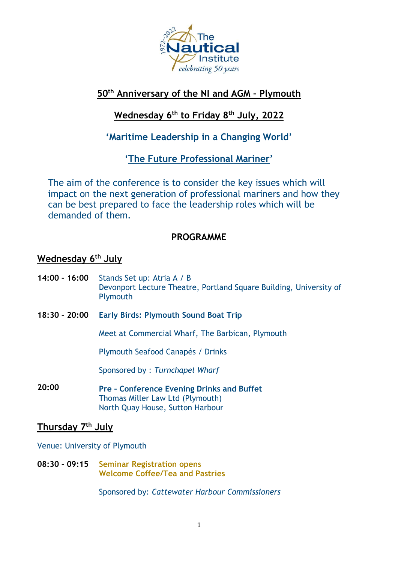

## **50th Anniversary of the NI and AGM – Plymouth**

# **Wednesday 6 th to Friday 8 th July, 2022**

## **'Maritime Leadership in a Changing World'**

**'The Future Professional Mariner'**

The aim of the conference is to consider the key issues which will impact on the next generation of professional mariners and how they can be best prepared to face the leadership roles which will be demanded of them.

## **PROGRAMME**

## **Wednesday 6 th July**

- **14:00 – 16:00** Stands Set up: Atria A / B Devonport Lecture Theatre, Portland Square Building, University of Plymouth
- **18:30 – 20:00 Early Birds: Plymouth Sound Boat Trip**

Meet at Commercial Wharf, The Barbican, Plymouth

Plymouth Seafood Canapés / Drinks

Sponsored by : *Turnchapel Wharf*

**20:00 Pre – Conference Evening Drinks and Buffet** Thomas Miller Law Ltd (Plymouth) North Quay House, Sutton Harbour

## **Thursday 7 th July**

Venue: University of Plymouth

**08:30 – 09:15 Seminar Registration opens Welcome Coffee/Tea and Pastries**

Sponsored by: *Cattewater Harbour Commissioners*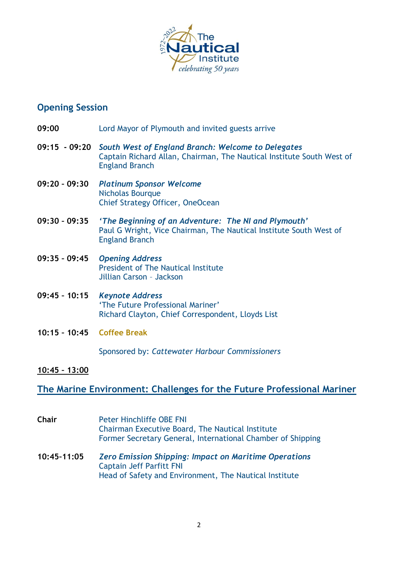

# **Opening Session**

| 09:00                      | Lord Mayor of Plymouth and invited guests arrive                                                                                                                   |
|----------------------------|--------------------------------------------------------------------------------------------------------------------------------------------------------------------|
|                            | 09:15 - 09:20 South West of England Branch: Welcome to Delegates<br>Captain Richard Allan, Chairman, The Nautical Institute South West of<br><b>England Branch</b> |
| 09:20 - 09:30              | <b>Platinum Sponsor Welcome</b><br>Nicholas Bourque<br>Chief Strategy Officer, OneOcean                                                                            |
| 09:30 - 09:35              | 'The Beginning of an Adventure: The NI and Plymouth'<br>Paul G Wright, Vice Chairman, The Nautical Institute South West of<br><b>England Branch</b>                |
| 09:35 - 09:45              | <b>Opening Address</b><br>President of The Nautical Institute<br>Jillian Carson - Jackson                                                                          |
| 09:45 - 10:15              | <b>Keynote Address</b><br>'The Future Professional Mariner'<br>Richard Clayton, Chief Correspondent, Lloyds List                                                   |
| 10:15 - 10:45 Coffee Break |                                                                                                                                                                    |
|                            | Sponsored by: Cattewater Harbour Commissioners                                                                                                                     |
| 10:45 - 13:00              |                                                                                                                                                                    |

# **The Marine Environment: Challenges for the Future Professional Mariner**

| Chair       | <b>Peter Hinchliffe OBE FNI</b><br>Chairman Executive Board, The Nautical Institute<br>Former Secretary General, International Chamber of Shipping        |
|-------------|-----------------------------------------------------------------------------------------------------------------------------------------------------------|
| 10:45-11:05 | <b>Zero Emission Shipping: Impact on Maritime Operations</b><br><b>Captain Jeff Parfitt FNI</b><br>Head of Safety and Environment, The Nautical Institute |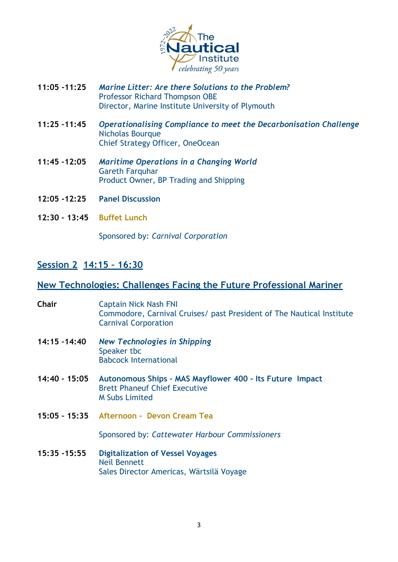

- **11:05 -11:25** *Marine Litter: Are there Solutions to the Problem?* Professor Richard Thompson OBE Director, Marine Institute University of Plymouth
- **11:25 –11:45** *Operationalising Compliance to meet the Decarbonisation Challenge* Nicholas Bourque Chief Strategy Officer, OneOcean
- **11:45 –12:05** *Maritime Operations in a Changing World*  Gareth Farquhar Product Owner, BP Trading and Shipping
- **12:05 -12:25 Panel Discussion**
- **12:30 – 13:45 Buffet Lunch**

Sponsored by: *Carnival Corporation*

#### **Session 2 14:15 – 16:30**

#### **New Technologies: Challenges Facing the Future Professional Mariner**

| <b>Chair</b>    | <b>Captain Nick Nash FNI</b><br>Commodore, Carnival Cruises/ past President of The Nautical Institute<br><b>Carnival Corporation</b> |
|-----------------|--------------------------------------------------------------------------------------------------------------------------------------|
| 14:15 -14:40    | <b>New Technologies in Shipping</b><br>Speaker tbc<br><b>Babcock International</b>                                                   |
| 14:40 - 15:05   | Autonomous Ships - MAS Mayflower 400 - Its Future Impact<br><b>Brett Phaneuf Chief Executive</b><br><b>M Subs Limited</b>            |
|                 | 15:05 - 15:35 Afternoon - Devon Cream Tea                                                                                            |
|                 | Sponsored by: Cattewater Harbour Commissioners                                                                                       |
| $15:35 - 15:55$ | <b>Digitalization of Vessel Voyages</b><br><b>Neil Bennett</b><br>Sales Director Americas, Wärtsilä Voyage                           |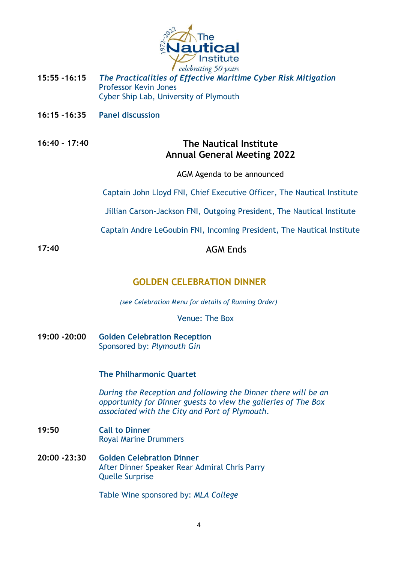

- **15:55 –16:15** *The Practicalities of Effective Maritime Cyber Risk Mitigation* Professor Kevin Jones Cyber Ship Lab, University of Plymouth
- **16:15 –16:35 Panel discussion**

#### **16:40 – 17:40 The Nautical Institute Annual General Meeting 2022**

AGM Agenda to be announced

Captain John Lloyd FNI, Chief Executive Officer, The Nautical Institute

Jillian Carson-Jackson FNI, Outgoing President, The Nautical Institute

Captain Andre LeGoubin FNI, Incoming President, The Nautical Institute

17:40 **AGM** Ends

## **GOLDEN CELEBRATION DINNER**

 *(see Celebration Menu for details of Running Order)*

Venue: The Box

**19:00 -20:00 Golden Celebration Reception** Sponsored by: *Plymouth Gin*

#### **The Philharmonic Quartet**

*During the Reception and following the Dinner there will be an opportunity for Dinner guests to view the galleries of The Box associated with the City and Port of Plymouth.*

- **19:50 Call to Dinner** Royal Marine Drummers
- **20:00 -23:30 Golden Celebration Dinner** After Dinner Speaker Rear Admiral Chris Parry Quelle Surprise

Table Wine sponsored by: *MLA College*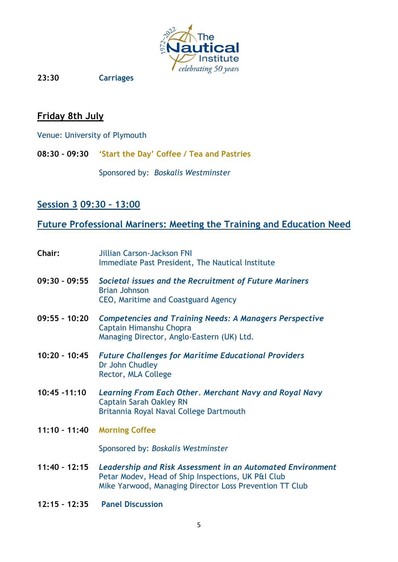

**23:30 Carriages**

## **Friday 8th July**

Venue: University of Plymouth

**08:30 – 09:30 'Start the Day' Coffee / Tea and Pastries**

Sponsored by: *Boskalis Westminster*

## **Session 3 09:30 – 13:00**

# **Future Professional Mariners: Meeting the Training and Education Need**

| Chair:          | <b>Jillian Carson-Jackson FNI</b><br>Immediate Past President, The Nautical Institute                                                                                       |
|-----------------|-----------------------------------------------------------------------------------------------------------------------------------------------------------------------------|
| $09:30 - 09:55$ | Societal issues and the Recruitment of Future Mariners<br><b>Brian Johnson</b><br>CEO, Maritime and Coastguard Agency                                                       |
| $09:55 - 10:20$ | <b>Competencies and Training Needs: A Managers Perspective</b><br>Captain Himanshu Chopra<br>Managing Director, Anglo-Eastern (UK) Ltd.                                     |
| $10:20 - 10:45$ | <b>Future Challenges for Maritime Educational Providers</b><br>Dr John Chudley<br><b>Rector, MLA College</b>                                                                |
| $10:45 - 11:10$ | Learning From Each Other. Merchant Navy and Royal Navy<br><b>Captain Sarah Oakley RN</b><br>Britannia Royal Naval College Dartmouth                                         |
| $11:10 - 11:40$ | <b>Morning Coffee</b>                                                                                                                                                       |
|                 | Sponsored by: Boskalis Westminster                                                                                                                                          |
| $11:40 - 12:15$ | Leadership and Risk Assessment in an Automated Environment<br>Petar Modev, Head of Ship Inspections, UK P&I Club<br>Mike Yarwood, Managing Director Loss Prevention TT Club |
| $12:15 - 12:35$ | <b>Panel Discussion</b>                                                                                                                                                     |